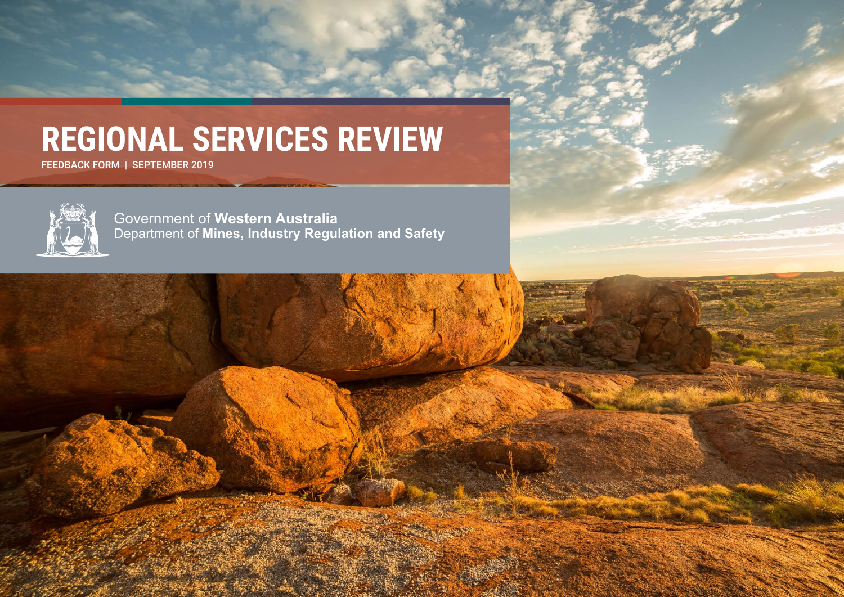# **REGIONAL SERVICES REVIEW**

FEEDBACK FORM | SEPTEMBER 2019



Government of **Western Australia** Department of **Mines, Industry Regulation and Safety**

Regional Services Review – Consultation Paper Page 1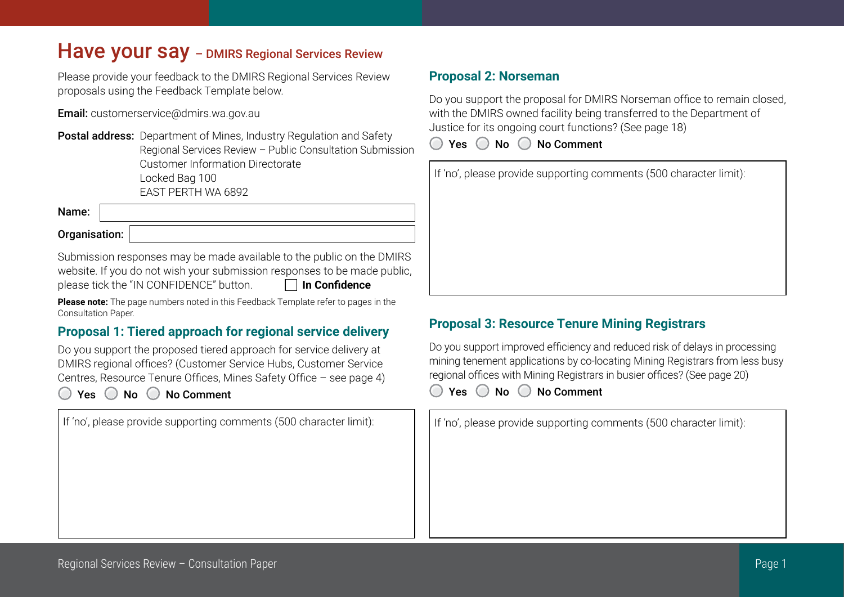# Have your say - DMIRS Regional Services Review

Please provide your feedback to the DMIRS Regional Services Review proposals using the Feedback Template below.

**Email:** customerservice@dmirs.wa.gov.au

**Postal address:** Department of Mines, Industry Regulation and Safety Regional Services Review – Public Consultation Submission Customer Information Directorate Locked Bag 100 EAST PERTH WA 6892

Name:

Organisation:

Submission responses may be made available to the public on the DMIRS website. If you do not wish your submission responses to be made public, please tick the "IN CONFIDENCE" button. **In Confidence**

**Please note:** The page numbers noted in this Feedback Template refer to pages in the Consultation Paper.

# **Proposal 1: Tiered approach for regional service delivery**

Do you support the proposed tiered approach for service delivery at DMIRS regional offices? (Customer Service Hubs, Customer Service Centres, Resource Tenure Offices, Mines Safety Office – see page 4)

 $Yes \t\t\t No \t\t\t No \t\t\t Common$ 

If 'no', please provide supporting comments (500 character limit):

# **Proposal 2: Norseman**

Do you support the proposal for DMIRS Norseman office to remain closed, with the DMIRS owned facility being transferred to the Department of Justice for its ongoing court functions? (See page 18)

 $Yes \t\t\t No \t\t\t No \t\t\t Comment$ 

| If 'no', please provide supporting comments (500 character limit): |
|--------------------------------------------------------------------|
|                                                                    |
|                                                                    |
|                                                                    |
|                                                                    |
|                                                                    |

# **Proposal 3: Resource Tenure Mining Registrars**

Do you support improved efficiency and reduced risk of delays in processing mining tenement applications by co-locating Mining Registrars from less busy regional offices with Mining Registrars in busier offices? (See page 20)

◯ Yes ◯ No ◯ No Comment

If 'no', please provide supporting comments (500 character limit):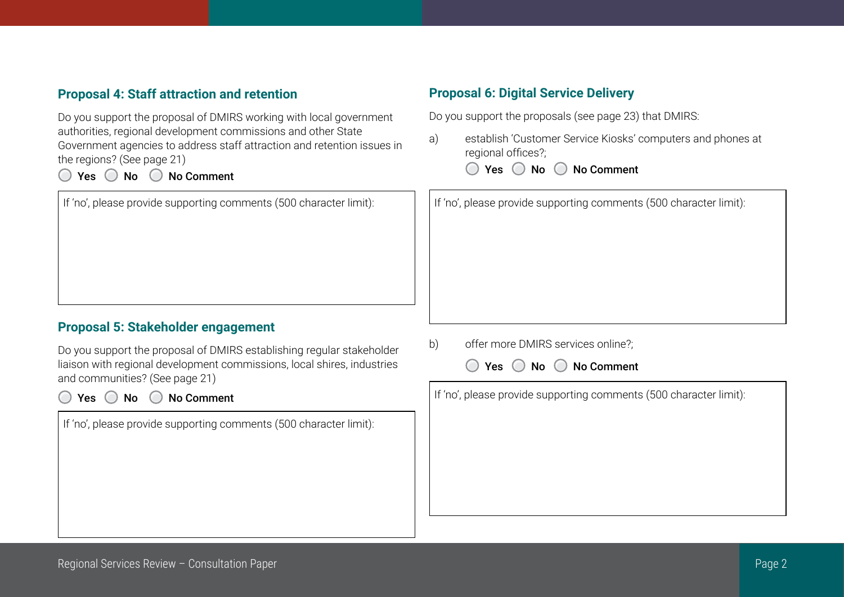# **Proposal 4: Staff attraction and retention**

Do you support the proposal of DMIRS working with local government authorities, regional development commissions and other State Government agencies to address staff attraction and retention issues in the regions? (See page 21)

◯ Yes ◯ No ◯ No Comment

If 'no', please provide supporting comments (500 character limit):

## **Proposal 5: Stakeholder engagement**

Do you support the proposal of DMIRS establishing regular stakeholder liaison with regional development commissions, local shires, industries and communities? (See page 21)

 $Yes \t\t\t No \t\t\t No \t\t\t Common$ 

If 'no', please provide supporting comments (500 character limit):

#### **Proposal 6: Digital Service Delivery**

Do you support the proposals (see page 23) that DMIRS:

a) establish 'Customer Service Kiosks' computers and phones at regional offices?;

◯ Yes ◯ No ◯ No Comment

If 'no', please provide supporting comments (500 character limit):

b) offer more DMIRS services online?;



If 'no', please provide supporting comments (500 character limit):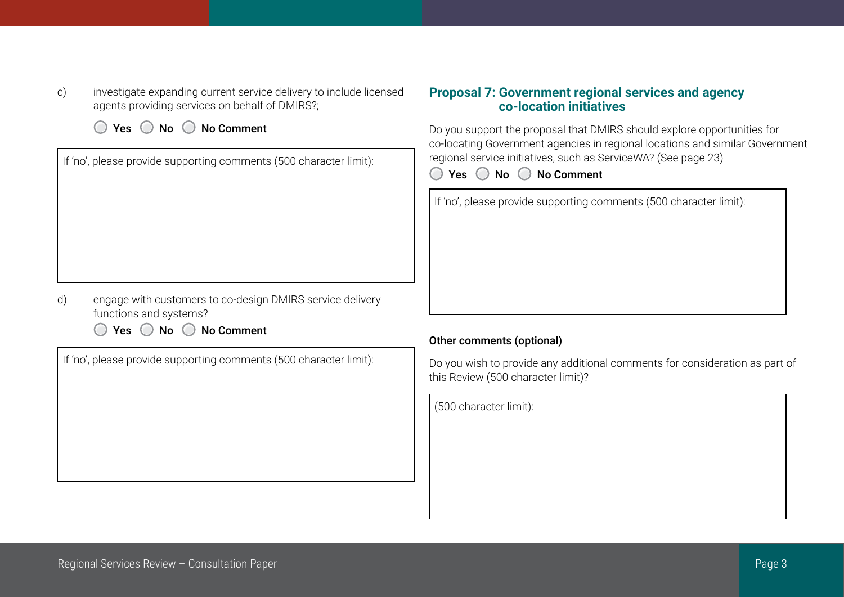c) investigate expanding current service delivery to include licensed agents providing services on behalf of DMIRS?;

 $\bigcirc$  Yes  $\bigcirc$  No  $\bigcirc$  No Comment

| If 'no', please provide supporting comments (500 character limit): |
|--------------------------------------------------------------------|
|                                                                    |
|                                                                    |
|                                                                    |
|                                                                    |
|                                                                    |

- d) engage with customers to co-design DMIRS service delivery functions and systems?
	- $\bigcirc$  Yes  $\bigcirc$  No  $\bigcirc$  No Comment

If 'no', please provide supporting comments (500 character limit):

## **Proposal 7: Government regional services and agency co-location initiatives**

Do you support the proposal that DMIRS should explore opportunities for co-locating Government agencies in regional locations and similar Government regional service initiatives, such as ServiceWA? (See page 23)

 $\bigcirc$  Yes  $\bigcirc$  No  $\bigcirc$  No Comment

If 'no', please provide supporting comments (500 character limit):

#### Other comments (optional)

Do you wish to provide any additional comments for consideration as part of this Review (500 character limit)?

(500 character limit):